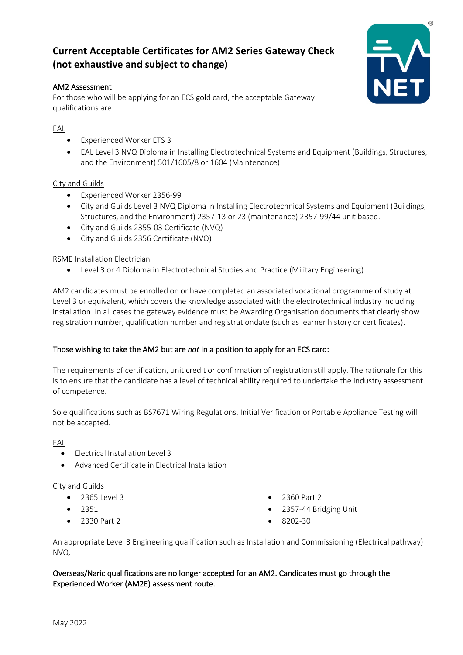# **Current Acceptable Certificates for AM2 Series Gateway Check (not exhaustive and subject to change)**

## AM2 Assessment

For those who will be applying for an ECS gold card, the acceptable Gateway qualifications are:

# EAL

- Experienced Worker ETS 3
- EAL Level 3 NVQ Diploma in Installing Electrotechnical Systems and Equipment (Buildings, Structures, and the Environment) 501/1605/8 or 1604 (Maintenance)

## City and Guilds

- Experienced Worker 2356-99
- City and Guilds Level 3 NVQ Diploma in Installing Electrotechnical Systems and Equipment (Buildings, Structures, and the Environment) 2357-13 or 23 (maintenance) 2357-99/44 unit based.
- City and Guilds 2355-03 Certificate (NVQ)
- City and Guilds 2356 Certificate (NVQ)

## RSME Installation Electrician

• Level 3 or 4 Diploma in Electrotechnical Studies and Practice (Military Engineering)

AM2 candidates must be enrolled on or have completed an associated vocational programme of study at Level 3 or equivalent, which covers the knowledge associated with the electrotechnical industry including installation. In all cases the gateway evidence must be Awarding Organisation documents that clearly show registration number, qualification number and registrationdate (such as learner history or certificates).

## Those wishing to take the AM2 but are *not* in a position to apply for an ECS card:

The requirements of certification, unit credit or confirmation of registration still apply. The rationale for this is to ensure that the candidate has a level of technical ability required to undertake the industry assessment of competence.

Sole qualifications such as BS7671 Wiring Regulations, Initial Verification or Portable Appliance Testing will not be accepted.

#### EAL

- Electrical Installation Level 3
- Advanced Certificate in Electrical Installation

#### City and Guilds

- 2365 Level 3
- 2351
- 2330 Part 2
- 2360 Part 2
- 2357-44 Bridging Unit
- 8202-30

An appropriate Level 3 Engineering qualification such as Installation and Commissioning (Electrical pathway) NVQ.

Overseas/Naric qualifications are no longer accepted for an AM2. Candidates must go through the Experienced Worker (AM2E) assessment route.



 $\overline{a}$